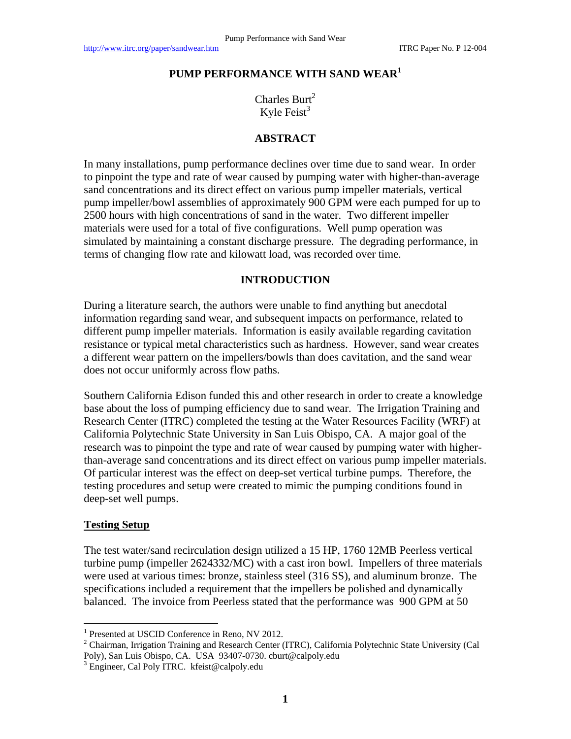#### **PUMP PERFORMANCE WITH SAND WEAR<sup>1</sup>**

Charles Burt<sup>2</sup> Kyle Feist $3$ 

# **ABSTRACT**

In many installations, pump performance declines over time due to sand wear. In order to pinpoint the type and rate of wear caused by pumping water with higher-than-average sand concentrations and its direct effect on various pump impeller materials, vertical pump impeller/bowl assemblies of approximately 900 GPM were each pumped for up to 2500 hours with high concentrations of sand in the water. Two different impeller materials were used for a total of five configurations. Well pump operation was simulated by maintaining a constant discharge pressure. The degrading performance, in terms of changing flow rate and kilowatt load, was recorded over time.

#### **INTRODUCTION**

During a literature search, the authors were unable to find anything but anecdotal information regarding sand wear, and subsequent impacts on performance, related to different pump impeller materials. Information is easily available regarding cavitation resistance or typical metal characteristics such as hardness. However, sand wear creates a different wear pattern on the impellers/bowls than does cavitation, and the sand wear does not occur uniformly across flow paths.

Southern California Edison funded this and other research in order to create a knowledge base about the loss of pumping efficiency due to sand wear. The Irrigation Training and Research Center (ITRC) completed the testing at the Water Resources Facility (WRF) at California Polytechnic State University in San Luis Obispo, CA. A major goal of the research was to pinpoint the type and rate of wear caused by pumping water with higherthan-average sand concentrations and its direct effect on various pump impeller materials. Of particular interest was the effect on deep-set vertical turbine pumps. Therefore, the testing procedures and setup were created to mimic the pumping conditions found in deep-set well pumps.

#### **Testing Setup**

 $\overline{a}$ 

The test water/sand recirculation design utilized a 15 HP, 1760 12MB Peerless vertical turbine pump (impeller 2624332/MC) with a cast iron bowl. Impellers of three materials were used at various times: bronze, stainless steel (316 SS), and aluminum bronze. The specifications included a requirement that the impellers be polished and dynamically balanced. The invoice from Peerless stated that the performance was 900 GPM at 50

<sup>&</sup>lt;sup>1</sup> Presented at USCID Conference in Reno, NV 2012.

<sup>&</sup>lt;sup>2</sup> Chairman, Irrigation Training and Research Center (ITRC), California Polytechnic State University (Cal Poly), San Luis Obispo, CA. USA 93407-0730. cburt@calpoly.edu

<sup>3</sup> Engineer, Cal Poly ITRC. kfeist@calpoly.edu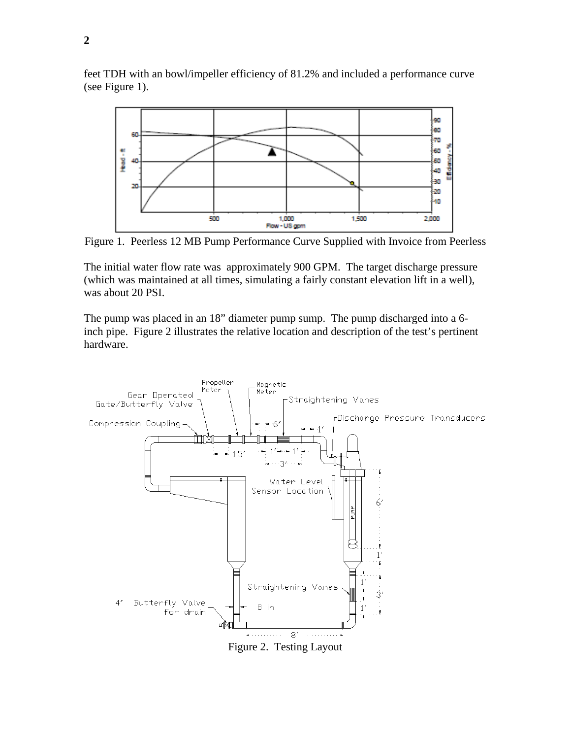

feet TDH with an bowl/impeller efficiency of 81.2% and included a performance curve (see Figure 1).

Figure 1. Peerless 12 MB Pump Performance Curve Supplied with Invoice from Peerless

The initial water flow rate was approximately 900 GPM. The target discharge pressure (which was maintained at all times, simulating a fairly constant elevation lift in a well), was about 20 PSI.

The pump was placed in an 18" diameter pump sump. The pump discharged into a 6 inch pipe. Figure 2 illustrates the relative location and description of the test's pertinent hardware.



Figure 2. Testing Layout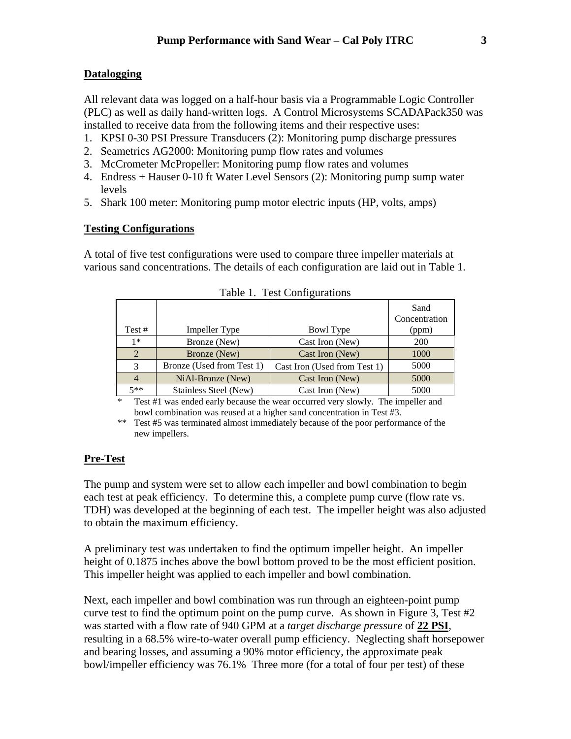# **Datalogging**

All relevant data was logged on a half-hour basis via a Programmable Logic Controller (PLC) as well as daily hand-written logs. A Control Microsystems SCADAPack350 was installed to receive data from the following items and their respective uses:

- 1. KPSI 0-30 PSI Pressure Transducers (2): Monitoring pump discharge pressures
- 2. Seametrics AG2000: Monitoring pump flow rates and volumes
- 3. McCrometer McPropeller: Monitoring pump flow rates and volumes
- 4. Endress + Hauser 0-10 ft Water Level Sensors (2): Monitoring pump sump water levels
- 5. Shark 100 meter: Monitoring pump motor electric inputs (HP, volts, amps)

# **Testing Configurations**

A total of five test configurations were used to compare three impeller materials at various sand concentrations. The details of each configuration are laid out in Table 1.

|                |                           |                              | Sand<br>Concentration |
|----------------|---------------------------|------------------------------|-----------------------|
| Test #         | Impeller Type             | Bowl Type                    | (ppm)                 |
| $1*$           | Bronze (New)              | Cast Iron (New)              | <b>200</b>            |
| 2              | Bronze (New)              | Cast Iron (New)              | 1000                  |
| 3              | Bronze (Used from Test 1) | Cast Iron (Used from Test 1) | 5000                  |
| $\overline{4}$ | NiAl-Bronze (New)         | Cast Iron (New)              | 5000                  |
| $5**$          | Stainless Steel (New)     | Cast Iron (New)              | 5000                  |

| Table 1. Test Configurations |  |
|------------------------------|--|
|------------------------------|--|

\* Test #1 was ended early because the wear occurred very slowly. The impeller and bowl combination was reused at a higher sand concentration in Test #3.

\*\* Test #5 was terminated almost immediately because of the poor performance of the new impellers.

# **Pre-Test**

The pump and system were set to allow each impeller and bowl combination to begin each test at peak efficiency. To determine this, a complete pump curve (flow rate vs. TDH) was developed at the beginning of each test. The impeller height was also adjusted to obtain the maximum efficiency.

A preliminary test was undertaken to find the optimum impeller height. An impeller height of 0.1875 inches above the bowl bottom proved to be the most efficient position. This impeller height was applied to each impeller and bowl combination.

Next, each impeller and bowl combination was run through an eighteen-point pump curve test to find the optimum point on the pump curve. As shown in Figure 3, Test #2 was started with a flow rate of 940 GPM at a *target discharge pressure* of **22 PSI**, resulting in a 68.5% wire-to-water overall pump efficiency. Neglecting shaft horsepower and bearing losses, and assuming a 90% motor efficiency, the approximate peak bowl/impeller efficiency was 76.1% Three more (for a total of four per test) of these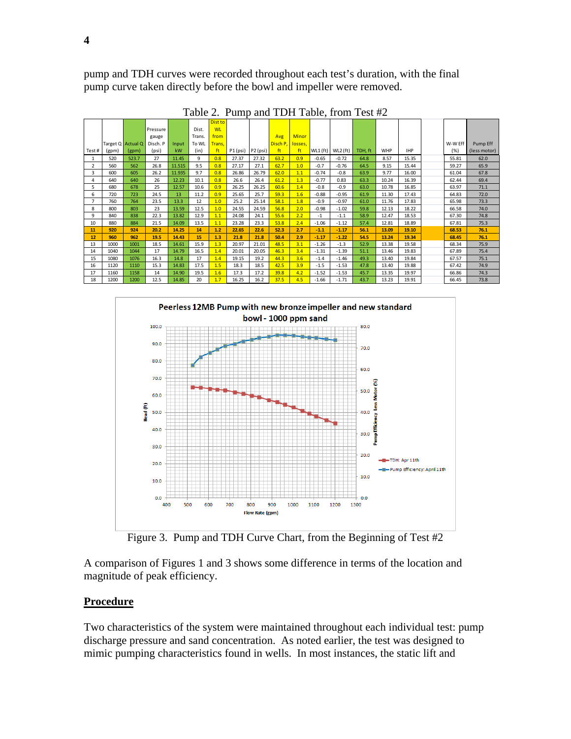pump and TDH curves were recorded throughout each test's duration, with the final pump curve taken directly before the bowl and impeller were removed.

|                |       |                   |          |        |        | <b>Dist to</b> |          |          |                  |              |            |          |         |            |            |         |              |
|----------------|-------|-------------------|----------|--------|--------|----------------|----------|----------|------------------|--------------|------------|----------|---------|------------|------------|---------|--------------|
|                |       |                   | Pressure |        | Dist.  | <b>WL</b>      |          |          |                  |              |            |          |         |            |            |         |              |
|                |       |                   | gauge    |        | Trans. | from           |          |          | Avg              | <b>Minor</b> |            |          |         |            |            |         |              |
|                |       | Target Q Actual Q | Disch. P | Input  | To WL  | Trans.         |          |          | Disch P, losses, |              |            |          |         |            |            | W-W Eff | Pump Eff     |
| Test#          | (gpm) | (gpm)             | (psi)    | kW     | (in)   | ft             | P1 (psi) | P2 (psi) | ft               | ft           | $WL1$ (ft) | WL2 (ft) | TDH, ft | <b>WHP</b> | <b>IHP</b> | (% )    | (less motor) |
| 1              | 520   | 523.7             | 27       | 11.45  | 9      | 0.8            | 27.37    | 27.32    | 63.2             | 0.9          | $-0.65$    | $-0.72$  | 64.8    | 8.57       | 15.35      | 55.81   | 62.0         |
| $\overline{2}$ | 560   | 562               | 26.8     | 11.515 | 9.5    | 0.8            | 27.17    | 27.1     | 62.7             | 1.0          | $-0.7$     | $-0.76$  | 64.5    | 9.15       | 15.44      | 59.27   | 65.9         |
| 3              | 600   | 605               | 26.2     | 11.935 | 9.7    | 0.8            | 26.86    | 26.79    | 62.0             | 1.1          | $-0.74$    | $-0.8$   | 63.9    | 9.77       | 16.00      | 61.04   | 67.8         |
| 4              | 640   | 640               | 26       | 12.23  | 10.1   | 0.8            | 26.6     | 26.4     | 61.2             | 1.3          | $-0.77$    | 0.83     | 63.3    | 10.24      | 16.39      | 62.44   | 69.4         |
| 5              | 680   | 678               | 25       | 12.57  | 10.6   | 0.9            | 26.25    | 26.25    | 60.6             | 1.4          | $-0.8$     | $-0.9$   | 63.0    | 10.78      | 16.85      | 63.97   | 71.1         |
| 6              | 720   | 723               | 24.5     | 13     | 11.2   | 0.9            | 25.65    | 25.7     | 59.3             | 1.6          | $-0.88$    | $-0.95$  | 61.9    | 11.30      | 17.43      | 64.83   | 72.0         |
| $\overline{7}$ | 760   | 764               | 23.5     | 13.3   | 12     | 1.0            | 25.2     | 25.14    | 58.1             | 1.8          | $-0.9$     | $-0.97$  | 61.0    | 11.76      | 17.83      | 65.98   | 73.3         |
| 8              | 800   | 803               | 23       | 13.59  | 12.5   | 1.0            | 24.55    | 24.59    | 56.8             | 2.0          | $-0.98$    | $-1.02$  | 59.8    | 12.13      | 18.22      | 66.58   | 74.0         |
| 9              | 840   | 838               | 22.3     | 13.82  | 12.9   | 1.1            | 24.08    | 24.1     | 55.6             | 2.2          | $-1$       | $-1.1$   | 58.9    | 12.47      | 18.53      | 67.30   | 74.8         |
| 10             | 880   | 884               | 21.5     | 14.09  | 13.5   | 1.1            | 23.28    | 23.3     | 53.8             | 2.4          | $-1.06$    | $-1.12$  | 57.4    | 12.81      | 18.89      | 67.81   | 75.3         |
| 11             | 920   | 924               | 20.2     | 14.25  | 14     | 1.2            | 22.65    | 22.6     | 52.3             | 2.7          | $-1.1$     | $-1.17$  | 56.1    | 13.09      | 19.10      | 68.53   | 76.1         |
| 12             | 960   | 962               | 19.5     | 14.43  | 15     | 1.3            | 21.8     | 21.8     | 50.4             | 2.9          | $-1.17$    | $-1.22$  | 54.5    | 13.24      | 19.34      | 68.45   | 76.1         |
| 13             | 1000  | 1001              | 18.5     | 14.61  | 15.9   | 1.3            | 20.97    | 21.01    | 48.5             | 3.1          | $-1.26$    | $-1.3$   | 52.9    | 13.38      | 19.58      | 68.34   | 75.9         |
| 14             | 1040  | 1044              | 17       | 14.79  | 16.5   | 1.4            | 20.01    | 20.05    | 46.3             | 3.4          | $-1.31$    | $-1.39$  | 51.1    | 13.46      | 19.83      | 67.89   | 75.4         |
| 15             | 1080  | 1076              | 16.3     | 14.8   | 17     | 1.4            | 19.15    | 19.2     | 44.3             | 3.6          | $-1.4$     | $-1.46$  | 49.3    | 13.40      | 19.84      | 67.57   | 75.1         |
| 16             | 1120  | 1110              | 15.3     | 14.83  | 17.5   | 1.5            | 18.3     | 18.5     | 42.5             | 3.9          | $-1.5$     | $-1.53$  | 47.8    | 13.40      | 19.88      | 67.42   | 74.9         |
| 17             | 1160  | 1158              | 14       | 14.90  | 19.5   | 1.6            | 17.3     | 17.2     | 39.8             | 4.2          | $-1.52$    | $-1.53$  | 45.7    | 13.35      | 19.97      | 66.86   | 74.3         |
| 18             | 1200  | 1200              | 12.5     | 14.85  | 20     | 1.7            | 16.25    | 16.2     | 37.5             | 4.5          | $-1.66$    | $-1.71$  | 43.7    | 13.23      | 19.91      | 66.45   | 73.8         |

Table 2. Pump and TDH Table, from Test #2



Figure 3. Pump and TDH Curve Chart, from the Beginning of Test #2

A comparison of Figures 1 and 3 shows some difference in terms of the location and magnitude of peak efficiency.

# **Procedure**

Two characteristics of the system were maintained throughout each individual test: pump discharge pressure and sand concentration. As noted earlier, the test was designed to mimic pumping characteristics found in wells. In most instances, the static lift and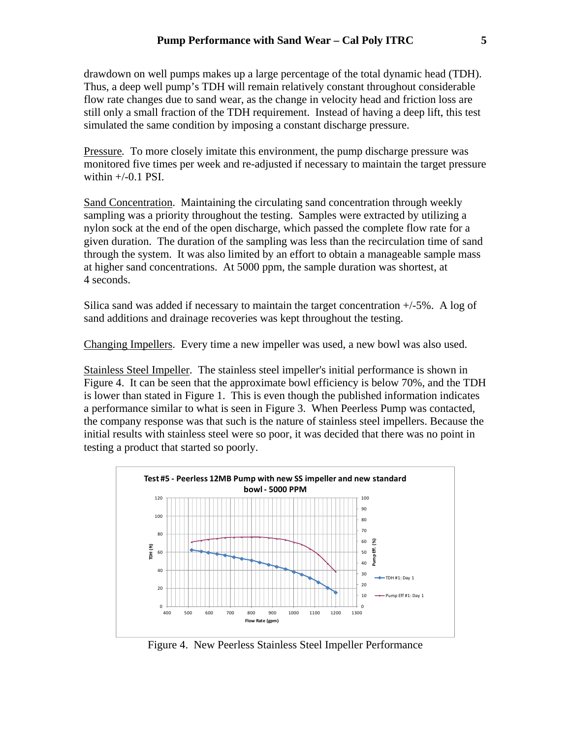drawdown on well pumps makes up a large percentage of the total dynamic head (TDH). Thus, a deep well pump's TDH will remain relatively constant throughout considerable flow rate changes due to sand wear, as the change in velocity head and friction loss are still only a small fraction of the TDH requirement. Instead of having a deep lift, this test simulated the same condition by imposing a constant discharge pressure.

Pressure*.* To more closely imitate this environment, the pump discharge pressure was monitored five times per week and re-adjusted if necessary to maintain the target pressure within  $+/-0.1$  PSI.

Sand Concentration. Maintaining the circulating sand concentration through weekly sampling was a priority throughout the testing. Samples were extracted by utilizing a nylon sock at the end of the open discharge, which passed the complete flow rate for a given duration. The duration of the sampling was less than the recirculation time of sand through the system. It was also limited by an effort to obtain a manageable sample mass at higher sand concentrations. At 5000 ppm, the sample duration was shortest, at 4 seconds.

Silica sand was added if necessary to maintain the target concentration +/-5%. A log of sand additions and drainage recoveries was kept throughout the testing.

Changing Impellers. Every time a new impeller was used, a new bowl was also used.

Stainless Steel Impeller. The stainless steel impeller's initial performance is shown in Figure 4. It can be seen that the approximate bowl efficiency is below 70%, and the TDH is lower than stated in Figure 1. This is even though the published information indicates a performance similar to what is seen in Figure 3. When Peerless Pump was contacted, the company response was that such is the nature of stainless steel impellers. Because the initial results with stainless steel were so poor, it was decided that there was no point in testing a product that started so poorly.



Figure 4. New Peerless Stainless Steel Impeller Performance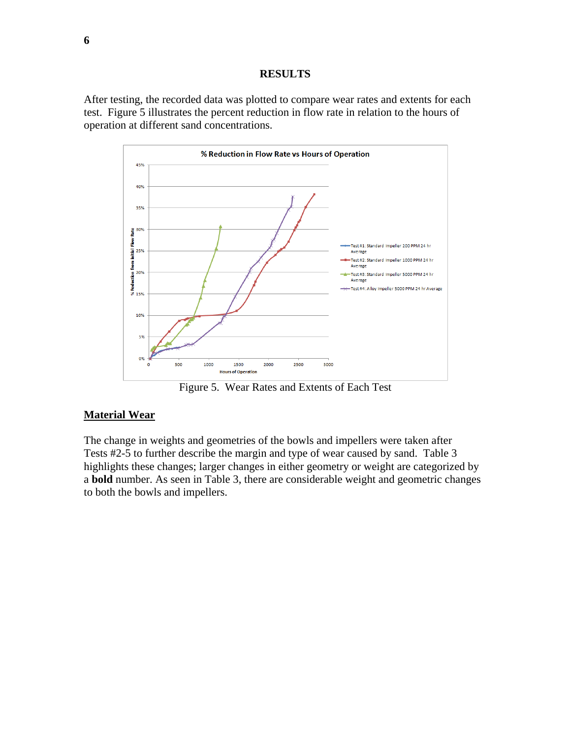#### **RESULTS**

After testing, the recorded data was plotted to compare wear rates and extents for each test. Figure 5 illustrates the percent reduction in flow rate in relation to the hours of operation at different sand concentrations.



Figure 5. Wear Rates and Extents of Each Test

#### **Material Wear**

The change in weights and geometries of the bowls and impellers were taken after Tests #2-5 to further describe the margin and type of wear caused by sand. Table 3 highlights these changes; larger changes in either geometry or weight are categorized by a **bold** number. As seen in Table 3, there are considerable weight and geometric changes to both the bowls and impellers.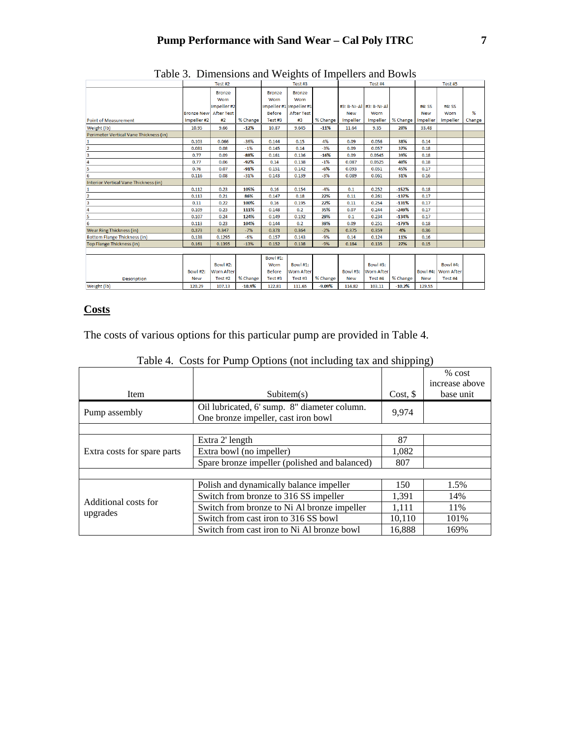|                                        | Test #2           |                   |          |               | Test #3                 |          |                 | Test #4                 |          |            | Test #5             |        |  |
|----------------------------------------|-------------------|-------------------|----------|---------------|-------------------------|----------|-----------------|-------------------------|----------|------------|---------------------|--------|--|
|                                        |                   | <b>Bronze</b>     |          | <b>Bronze</b> | <b>Bronze</b>           |          |                 |                         |          |            |                     |        |  |
|                                        |                   | Worn              |          | Worn          | Worn                    |          |                 |                         |          |            |                     |        |  |
|                                        |                   | Impeller#2        |          |               | Impeller #1 Impeller #1 |          |                 | #3: B-Ni-Al #3: B-Ni-Al |          | #4: SS     | #4: SS              |        |  |
|                                        | <b>Bronze New</b> | <b>After Test</b> |          | <b>Before</b> | <b>After Test</b>       |          | <b>New</b>      | Worn                    |          | <b>New</b> | Worn                | %      |  |
| Point of Measurement                   | Impeller#2        | #2                | % Change | Test #3       | #3                      | % Change | <b>Impeller</b> | Impeller                | % Change | Impeller   | <b>Impeller</b>     | Change |  |
| Weight (lb)                            | 10.95             | 9.66              | $-12%$   | 10.87         | 9.645                   | $-11%$   | 11.64           | 9.35                    | 20%      | 33.48      |                     |        |  |
| Perimeter Vertical Vane Thickness (in) |                   |                   |          |               |                         |          |                 |                         |          |            |                     |        |  |
| 1                                      | 0.103             | 0.066             | $-36%$   | 0.144         | 0.15                    | 4%       | 0.09            | 0.056                   | 38%      | 0.14       |                     |        |  |
| $\overline{2}$                         | 0.081             | 0.08              | $-1%$    | 0.145         | 0.14                    | $-3%$    | 0.09            | 0.057                   | 37%      | 0.18       |                     |        |  |
| $\overline{\mathbf{3}}$                | 0.77              | 0.09              | $-88%$   | 0.161         | 0.136                   | $-16%$   | 0.09            | 0.0545                  | 39%      | 0.18       |                     |        |  |
| 4                                      | 0.77              | 0.06              | $-92%$   | 0.14          | 0.138                   | $-1%$    | 0.087           | 0.0525                  | 40%      | 0.18       |                     |        |  |
| 5                                      | 0.76              | 0.07              | $-91%$   | 0.151         | 0.142                   | $-6%$    | 0.093           | 0.051                   | 45%      | 0.17       |                     |        |  |
| 6                                      | 0.116             | 0.08              | $-31%$   | 0.143         | 0.139                   | $-3%$    | 0.089           | 0.061                   | 31%      | 0.16       |                     |        |  |
| Interior Vertical Vane Thickness (in)  |                   |                   |          |               |                         |          |                 |                         |          |            |                     |        |  |
| 1                                      | 0.112             | 0.23              | 105%     | 0.16          | 0.154                   | $-4%$    | 0.1             | 0.252                   | $-152%$  | 0.18       |                     |        |  |
| 2                                      | 0.113             | 0.21              | 86%      | 0.147         | 0.18                    | 22%      | 0.11            | 0.261                   | $-137%$  | 0.17       |                     |        |  |
| $\overline{\mathbf{3}}$                | 0.11              | 0.22              | 100%     | 0.16          | 0.195                   | 22%      | 0.11            | 0.254                   | $-131%$  | 0.17       |                     |        |  |
| 4                                      | 0.109             | 0.23              | 111%     | 0.148         | 0.2                     | 35%      | 0.07            | 0.244                   | $-249%$  | 0.17       |                     |        |  |
| 5                                      | 0.107             | 0.24              | 124%     | 0.149         | 0.192                   | 29%      | 0.1             | 0.234                   | $-134%$  | 0.17       |                     |        |  |
| 6                                      | 0.113             | 0.23              | 104%     | 0.144         | 0.2                     | 39%      | 0.09            | 0.251                   | $-179%$  | 0.18       |                     |        |  |
| <b>Wear Ring Thickness (in)</b>        | 0.373             | 0.347             | $-7%$    | 0.373         | 0.364                   | $-2%$    | 0.375           | 0.359                   | 4%       | 0.36       |                     |        |  |
| <b>Bottom Flange Thickness (in)</b>    | 0.138             | 0.1295            | $-6%$    | 0.157         | 0.143                   | $-9%$    | 0.14            | 0.124                   | 11%      | 0.16       |                     |        |  |
| Top Flange Thickness (in)              | 0.161             | 0.1395            | $-13%$   | 0.152         | 0.138                   | $-9%$    | 0.184           | 0.135                   | 27%      | 0.15       |                     |        |  |
|                                        |                   |                   |          |               |                         |          |                 |                         |          |            |                     |        |  |
|                                        |                   |                   |          | Bowl #1:      |                         |          |                 |                         |          |            |                     |        |  |
|                                        |                   | Bowl #2:          |          | Worn          | <b>Bowl#1:</b>          |          |                 | Bowl #3:                |          |            | Bowl #4:            |        |  |
|                                        | Bowl #2:          | <b>Worn After</b> |          | <b>Before</b> | <b>Worn After</b>       |          | Bowl #3:        | <b>Worn After</b>       |          |            | Bowl #4: Worn After |        |  |
| <b>Description</b>                     | <b>New</b>        | Test #2           | % Change | Test #3       | Test#3                  | % Change | <b>New</b>      | Test #4                 | % Change | <b>New</b> | Test #4             |        |  |
| Weight (lb)                            | 120.29            | 107.13            | $-10.9%$ | 122.81        | 111.65                  | $-9.09%$ | 114.82          | 103.11                  | $-10.2%$ | 129.55     |                     |        |  |

|  | Table 3. Dimensions and Weights of Impellers and Bowls |  |  |  |  |  |
|--|--------------------------------------------------------|--|--|--|--|--|
|--|--------------------------------------------------------|--|--|--|--|--|

# **Costs**

The costs of various options for this particular pump are provided in Table 4.

|                             |                                               |          | % cost         |
|-----------------------------|-----------------------------------------------|----------|----------------|
|                             |                                               |          | increase above |
| Item                        | Subitem(s)                                    | Cost, \$ | base unit      |
| Pump assembly               | 9,974                                         |          |                |
|                             |                                               |          |                |
|                             | Extra 2' length                               | 87       |                |
| Extra costs for spare parts | Extra bowl (no impeller)                      | 1,082    |                |
|                             | Spare bronze impeller (polished and balanced) | 807      |                |
|                             |                                               |          |                |
|                             | Polish and dynamically balance impeller       | 150      | 1.5%           |
|                             | Switch from bronze to 316 SS impeller         | 1,391    | 14%            |
| Additional costs for        | Switch from bronze to Ni Al bronze impeller   | 1,111    | 11%            |
| upgrades                    | Switch from cast iron to 316 SS bowl          | 10,110   | 101\%          |
|                             | Switch from cast iron to Ni Al bronze bowl    | 16,888   | 169%           |

|  | Table 4. Costs for Pump Options (not including tax and shipping) |  |
|--|------------------------------------------------------------------|--|
|  |                                                                  |  |